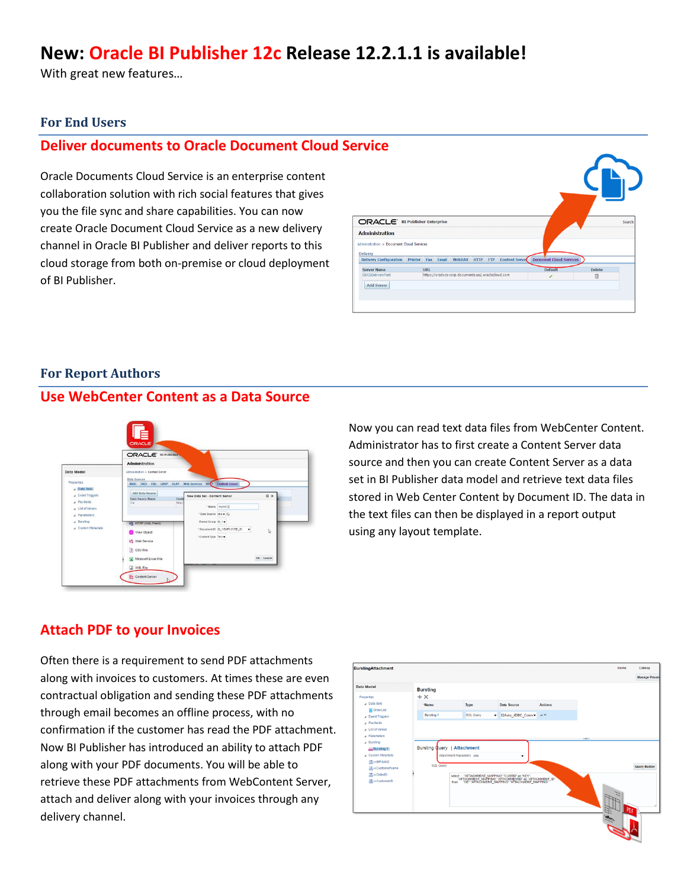# **New: Oracle BI Publisher 12c Release 12.2.1.1 is available!**

With great new features…

#### **For End Users**

### **Deliver documents to Oracle Document Cloud Service**

Oracle Documents Cloud Service is an enterprise content collaboration solution with rich social features that gives you the file sync and share capabilities. You can now create Oracle Document Cloud Service as a new delivery channel in Oracle BI Publisher and deliver reports to this cloud storage from both on-premise or cloud deployment of BI Publisher.

| <b>ORACLE</b> BI Publisher Enterprise    |                                                                        |                                |               | Search |
|------------------------------------------|------------------------------------------------------------------------|--------------------------------|---------------|--------|
| <b>Administration</b>                    |                                                                        |                                |               |        |
| Administration > Document Cloud Services |                                                                        |                                |               |        |
| <b>Delivery</b>                          | Delivery Configuration Printer Fax Email WebDAV HTTP FTP Content Serve | <b>Document Cloud Services</b> |               |        |
| <b>Server Name</b>                       | <b>URL</b>                                                             | <b>Default</b>                 | <b>Delete</b> |        |
| <b>ODCSDeliveryTest</b>                  | https://oradocs-corp.documents.us2.oraclecloud.com                     | V                              | 自             |        |
| <b>Add Server</b>                        |                                                                        |                                |               |        |
|                                          |                                                                        |                                |               |        |
|                                          |                                                                        |                                |               |        |

#### **For Report Authors**

#### **Use WebCenter Content as a Data Source**



Now you can read text data files from WebCenter Content. Administrator has to first create a Content Server data source and then you can create Content Server as a data set in BI Publisher data model and retrieve text data files stored in Web Center Content by Document ID. The data in the text files can then be displayed in a report output using any layout template.

### **Attach PDF to your Invoices**

Often there is a requirement to send PDF attachments along with invoices to customers. At times these are even contractual obligation and sending these PDF attachments through email becomes an offline process, with no confirmation if the customer has read the PDF attachment. Now BI Publisher has introduced an ability to attach PDF along with your PDF documents. You will be able to retrieve these PDF attachments from WebContent Server, attach and deliver along with your invoices through any delivery channel.

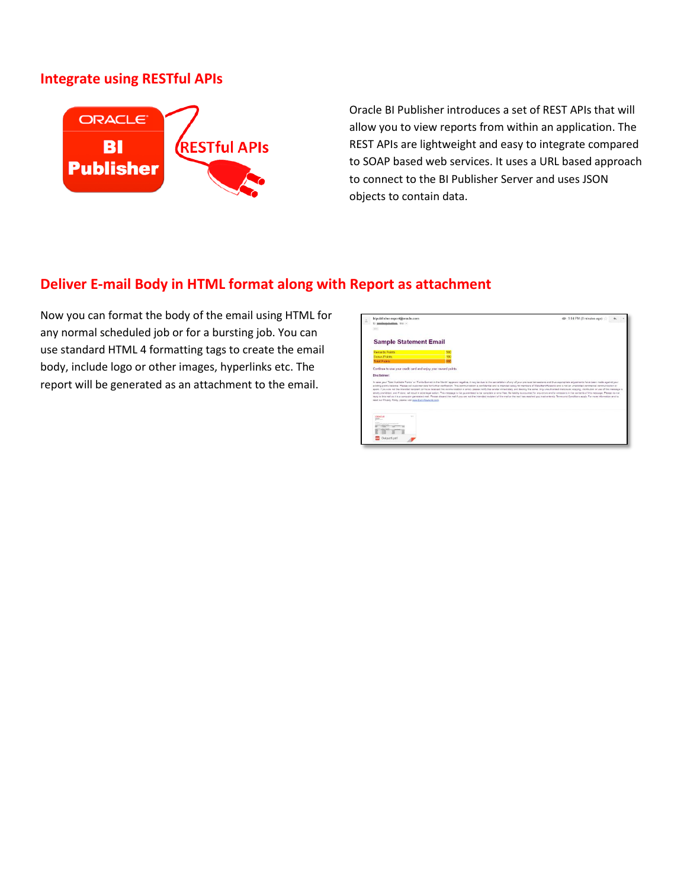### **Integrate using RESTful APIs**



Oracle BI Publisher introduces a set of REST APIs that will allow you to view reports from within an application. The REST APIs are lightweight and easy to integrate compared to SOAP based web services. It uses a URL based approach to connect to the BI Publisher Server and uses JSON objects to contain data.

### **Deliver E-mail Body in HTML format along with Report as attachment**

Now you can format the body of the email using HTML for any normal scheduled job or for a bursting job. You can use standard HTML 4 formatting tags to create the email body, include logo or other images, hyperlinks etc. The report will be generated as an attachment to the email.

| bipublisher-report@oracle.com<br>to assolenzationhop, mo i-<br><b>Section</b>                                                                                                                                                                                                                                                                                                                                                                                                                                                                                                                                                                                                                                                                                                                                                                                                                                                                                                                                                                                                                                                                                                                                      | (ap 9:04 PM (0 minutes ago) |  |  |  |  |
|--------------------------------------------------------------------------------------------------------------------------------------------------------------------------------------------------------------------------------------------------------------------------------------------------------------------------------------------------------------------------------------------------------------------------------------------------------------------------------------------------------------------------------------------------------------------------------------------------------------------------------------------------------------------------------------------------------------------------------------------------------------------------------------------------------------------------------------------------------------------------------------------------------------------------------------------------------------------------------------------------------------------------------------------------------------------------------------------------------------------------------------------------------------------------------------------------------------------|-----------------------------|--|--|--|--|
| <b>Sample Statement Email</b>                                                                                                                                                                                                                                                                                                                                                                                                                                                                                                                                                                                                                                                                                                                                                                                                                                                                                                                                                                                                                                                                                                                                                                                      |                             |  |  |  |  |
| <b>Rewards Points</b><br>501                                                                                                                                                                                                                                                                                                                                                                                                                                                                                                                                                                                                                                                                                                                                                                                                                                                                                                                                                                                                                                                                                                                                                                                       |                             |  |  |  |  |
| <b>Bonus Points</b><br>100                                                                                                                                                                                                                                                                                                                                                                                                                                                                                                                                                                                                                                                                                                                                                                                                                                                                                                                                                                                                                                                                                                                                                                                         |                             |  |  |  |  |
| <b>Keys</b><br><b>Total Points</b>                                                                                                                                                                                                                                                                                                                                                                                                                                                                                                                                                                                                                                                                                                                                                                                                                                                                                                                                                                                                                                                                                                                                                                                 |                             |  |  |  |  |
| Continue to use your credit card and enjoy your reward points.                                                                                                                                                                                                                                                                                                                                                                                                                                                                                                                                                                                                                                                                                                                                                                                                                                                                                                                                                                                                                                                                                                                                                     |                             |  |  |  |  |
| Disclaimer:                                                                                                                                                                                                                                                                                                                                                                                                                                                                                                                                                                                                                                                                                                                                                                                                                                                                                                                                                                                                                                                                                                                                                                                                        |                             |  |  |  |  |
| In case your "fotal Available Points" or "Points Earned in the Month" appears negative, it may be due to the cancellation of any of your previous transactions and thus appropriate adjustments have been made against your<br>existing points belance. Please call customer care for further clarification. This communication is confidential and is intended solely for members of StateBankRemantz and is not an unsolicited communication or<br>spain. If you are not the intended reolplant (or have received this communication in arror), please notly the sender intriediately and destroy the same. Any unauthorped disclosure; copying, distribution or use of this mess<br>strictly prohibited, and if done, will result in strict legal action. This message is not guaranteed to be complete or error free. No lability is assumed for any error entire and/or orrispons in the contents of this messag<br>reply to this mail as it is a computer generated mail. Please discard the mail f you are not the intended recovert of the mail or the mail has reached you inadvertedly. Terms and Conditions apply. For more information and<br>read our Privacy Police please vist www.BankRewardz.com. |                             |  |  |  |  |
| <b>COMO A</b><br>$\sim$<br>$107 -$                                                                                                                                                                                                                                                                                                                                                                                                                                                                                                                                                                                                                                                                                                                                                                                                                                                                                                                                                                                                                                                                                                                                                                                 |                             |  |  |  |  |
|                                                                                                                                                                                                                                                                                                                                                                                                                                                                                                                                                                                                                                                                                                                                                                                                                                                                                                                                                                                                                                                                                                                                                                                                                    |                             |  |  |  |  |
| Toutput1.pdf                                                                                                                                                                                                                                                                                                                                                                                                                                                                                                                                                                                                                                                                                                                                                                                                                                                                                                                                                                                                                                                                                                                                                                                                       |                             |  |  |  |  |
|                                                                                                                                                                                                                                                                                                                                                                                                                                                                                                                                                                                                                                                                                                                                                                                                                                                                                                                                                                                                                                                                                                                                                                                                                    |                             |  |  |  |  |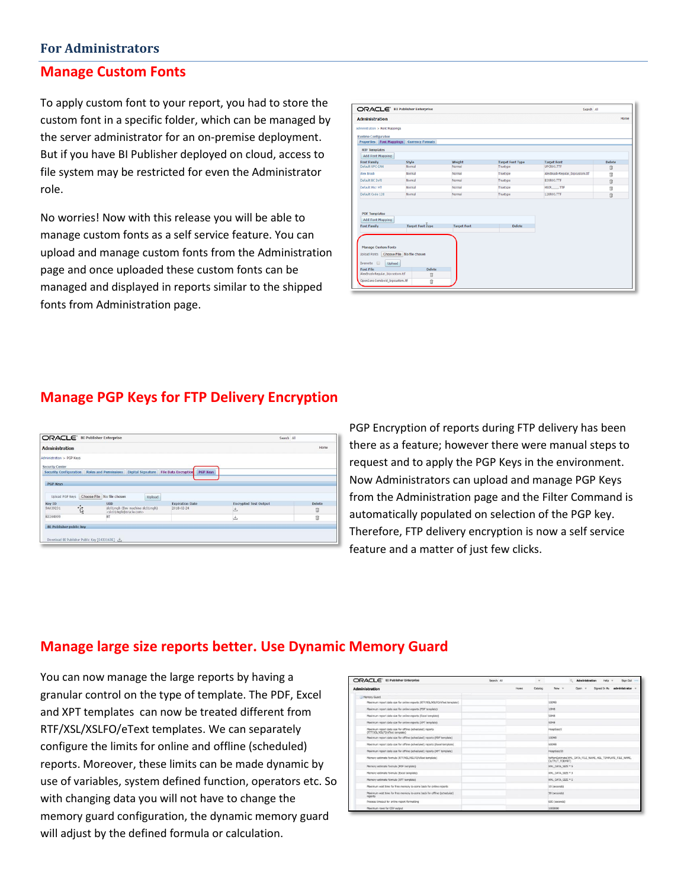#### **For Administrators**

#### **Manage Custom Fonts**

To apply custom font to your report, you had to store the custom font in a specific folder, which can be managed by the server administrator for an on-premise deployment. But if you have BI Publisher deployed on cloud, access to file system may be restricted for even the Administrator role.

No worries! Now with this release you will be able to manage custom fonts as a self service feature. You can upload and manage custom fonts from the Administration page and once uploaded these custom fonts can be managed and displayed in reports similar to the shipped fonts from Administration page.

|                                                                                                                    | ORACLE' BI Publisher Enterprise |                    |                         | Search All                      |               |
|--------------------------------------------------------------------------------------------------------------------|---------------------------------|--------------------|-------------------------|---------------------------------|---------------|
| <b>Administration</b>                                                                                              |                                 |                    |                         |                                 | Home          |
| Administration > Font Mappings                                                                                     |                                 |                    |                         |                                 |               |
| <b>Runtime Configuration</b><br>Properties Font Mappings Currency Formats                                          |                                 |                    |                         |                                 |               |
| <b>RTF Templates</b>                                                                                               |                                 |                    |                         |                                 |               |
| <b>Add Font Mapping</b>                                                                                            |                                 |                    |                         |                                 |               |
| Font Family                                                                                                        | Style                           | Weight             | <b>Target Font Type</b> | <b>Target Font</b>              | <b>Delete</b> |
| Default UPC-EAN                                                                                                    | Normal                          | Normal             | Truetype                | UPCR00.TTF                      | Ü             |
| <b>Alex Brush</b>                                                                                                  | Normal                          | Normal             | Truetype                | AlexBrush-Regular bipcustom.ttf | fil           |
| Default BC 3of9                                                                                                    | Normal                          | Normal             | Truetype                | <b>B39R00.TTF</b>               | 自             |
| Default Micr MT                                                                                                    | Normal                          | Normal             | Truetype                | MICR .TTF                       | Ŵ             |
| Default Code 128                                                                                                   | Normal                          | Normal             | Truetype                | 128R00.TTF                      | 自             |
| <b>PDF Templates</b><br><b>Add Font Mapping</b><br>Font Family                                                     | <b>Target Font Type</b>         | <b>Target Font</b> | Delete                  |                                 |               |
|                                                                                                                    |                                 |                    |                         |                                 |               |
|                                                                                                                    |                                 |                    |                         |                                 |               |
| <b>Manage Custom Fonts</b><br>Upload Fonts Choose File No file chosen<br>Upload<br>Overwrite <b>E</b><br>Font File | <b>Delete</b>                   |                    |                         |                                 |               |
| AlexBrush-Regular bipcustom.ttf                                                                                    | û                               |                    |                         |                                 |               |
| OpenSans-Semibold_bipcustom.ttf                                                                                    | û                               |                    |                         |                                 |               |

### **Manage PGP Keys for FTP Delivery Encryption**



PGP Encryption of reports during FTP delivery has been there as a feature; however there were manual steps to request and to apply the PGP Keys in the environment. Now Administrators can upload and manage PGP Keys from the Administration page and the Filter Command is automatically populated on selection of the PGP key. Therefore, FTP delivery encryption is now a self service feature and a matter of just few clicks.

### **Manage large size reports better. Use Dynamic Memory Guard**

You can now manage the large reports by having a granular control on the type of template. The PDF, Excel and XPT templates can now be treated different from RTF/XSL/XSLFO/eText templates. We can separately configure the limits for online and offline (scheduled) reports. Moreover, these limits can be made dynamic by use of variables, system defined function, operators etc. So with changing data you will not have to change the memory guard configuration, the dynamic memory guard will adjust by the defined formula or calculation.

| ORACLE <sup>®</sup> BI Publisher Enterprise                                                | Search All | $\scriptstyle\rm v$ | San Out<br><b>Administration</b>                                             |
|--------------------------------------------------------------------------------------------|------------|---------------------|------------------------------------------------------------------------------|
| <b>Administration</b>                                                                      |            | Home<br>Catalog     | administrator<br>New =<br>Signed In As<br>Only w                             |
| Memory Guard                                                                               |            |                     |                                                                              |
| Maximum report data size for online reports (RTF/XSL/XSLFC/eText template)                 |            |                     | 100MB                                                                        |
| Maximum report data size for online reports (PDF template)                                 |            |                     | 10MB                                                                         |
| Maximum report data size for online reports (Excel template)                               |            |                     | SOMB                                                                         |
| Maximum report data size for online reports (XPT template)                                 |            |                     | SOMB                                                                         |
| Maximum report data size for offline (scheduled) reports<br>(RTF/XSL/XSLFO/eText template) |            |                     | HeadSize/2                                                                   |
| Maximum report data size for offline (scheduled) reports (PDF template)                    |            |                     | 100918                                                                       |
| Maximum report data size for offline (scheduled) reports (Excel template)                  |            |                     | SOOM6                                                                        |
| Maximum report data size for offline (scheduled) reports (XPT template)                    |            |                     | HeadQzs/20                                                                   |
| Memory estimate formula (RTF/XSL/XSLFO/eText template)                                     |            |                     | follemEstimate(XHL_DATA_FILE_NAME, XSL_TEMPLATE_FILE_NAME,<br>OUTPUT FORMAT) |
| Memory estimate formula (PDF template)                                                     |            |                     | 306, DATA SIZE * 5                                                           |
| Memory estimate formula (Excel template)                                                   |            |                     | XML DATA SIZE * 3                                                            |
| Memory estimate formula (XPT template)                                                     |            |                     | XML DATA SIZE * 5                                                            |
| Maximum wait time for free memory to come back for online reports                          |            |                     | 10 (seconds)                                                                 |
| Maximum wait time for free memory to come back for offline (scheduled)<br>reports          |            |                     | 30 (seconds)                                                                 |
| Process timeout for online report formatting                                               |            |                     | (600 (seconds)                                                               |
| Maximum rows for CSV output                                                                |            |                     | 1000000                                                                      |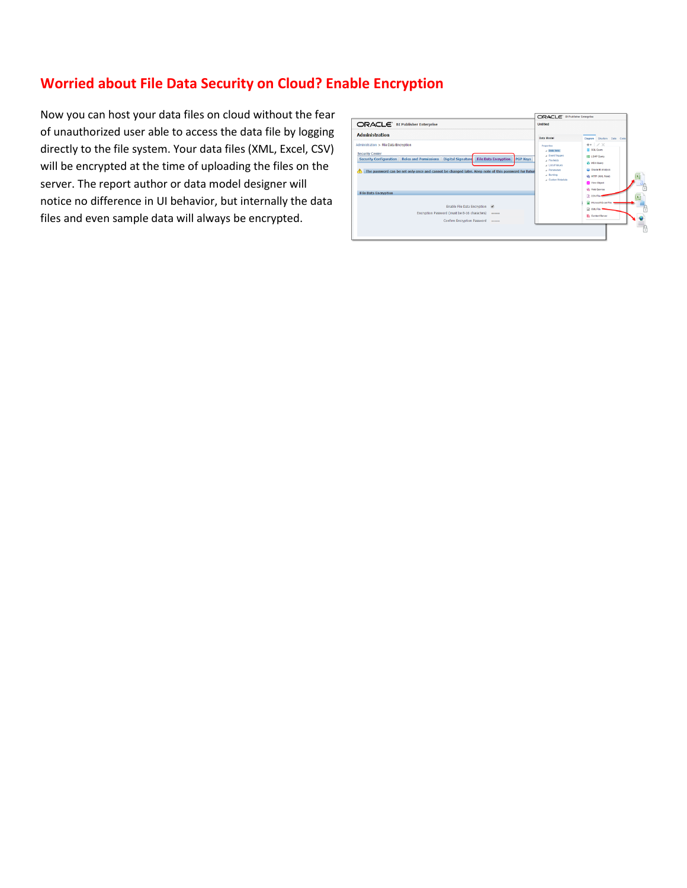# **Worried about File Data Security on Cloud? Enable Encryption**

Now you can host your data files on cloud without the fear of unauthorized user able to access the data file by logging directly to the file system. Your data files (XML, Excel, CSV) will be encrypted at the time of uploading the files on the server. The report author or data model designer will notice no difference in UI behavior, but internally the data files and even sample data will always be encrypted.

| ORACLE <sup>'</sup> BI Publisher Enterprise                                                                                                                                                                                                                                                         | <b>Untitled</b>                                                                                                                           |                                                                                                                                                                                   |
|-----------------------------------------------------------------------------------------------------------------------------------------------------------------------------------------------------------------------------------------------------------------------------------------------------|-------------------------------------------------------------------------------------------------------------------------------------------|-----------------------------------------------------------------------------------------------------------------------------------------------------------------------------------|
| <b>Administration</b>                                                                                                                                                                                                                                                                               | Data Model                                                                                                                                | Disgram Structure Data Code                                                                                                                                                       |
| Administration > File Data Encryption<br><b>Security Center</b><br><b>File Data Encryption</b><br>Security Configuration   Roles and Permissions   Digital Signature<br><b>PGP Keys</b><br>The password can be set only once and cannot be changed later. Keep note of this password for futur<br>Æ | Properties<br>J Data Sets<br>A Event Trippers<br>a Flexfields<br>a List of Values<br><b>J</b> Parameters<br>4 Bursting<br>Custom Metadata | $+$ $+$ $\times$<br>SQL Query<br><b>BILDAP Query</b><br><b>Ga MDX Query</b><br>Cracle Bl Analysis<br><b>ER. HTTP (XML Feed)</b><br><b>RS</b> View Object<br><b>CD</b> Web Service |
| <b>File Data Encryption</b><br>Enable File Data Encryption @<br>Encryption Password (must be 8-16 characters)<br><br>Confirm Encryption Password<br>                                                                                                                                                |                                                                                                                                           | <b>B</b> CSV File<br><b>Mossot Excel File</b><br><b>CO</b> XML File<br><b>The Content Server</b>                                                                                  |